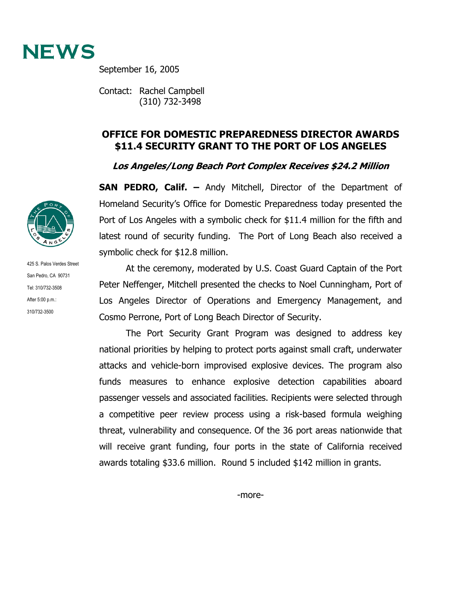

September 16, 2005

Contact: Rachel Campbell (310) 732-3498

## **OFFICE FOR DOMESTIC PREPAREDNESS DIRECTOR AWARDS \$11.4 SECURITY GRANT TO THE PORT OF LOS ANGELES**

**Los Angeles/Long Beach Port Complex Receives \$24.2 Million** 

**SAN PEDRO, Calif. –** Andy Mitchell, Director of the Department of Homeland Security's Office for Domestic Preparedness today presented the Port of Los Angeles with a symbolic check for \$11.4 million for the fifth and latest round of security funding. The Port of Long Beach also received a symbolic check for \$12.8 million.

At the ceremony, moderated by U.S. Coast Guard Captain of the Port Peter Neffenger, Mitchell presented the checks to Noel Cunningham, Port of Los Angeles Director of Operations and Emergency Management, and Cosmo Perrone, Port of Long Beach Director of Security.

The Port Security Grant Program was designed to address key national priorities by helping to protect ports against small craft, underwater attacks and vehicle-born improvised explosive devices. The program also funds measures to enhance explosive detection capabilities aboard passenger vessels and associated facilities. Recipients were selected through a competitive peer review process using a risk-based formula weighing threat, vulnerability and consequence. Of the 36 port areas nationwide that will receive grant funding, four ports in the state of California received awards totaling \$33.6 million. Round 5 included \$142 million in grants.



425 S. Palos Verdes Street San Pedro, CA 90731 Tel: 310/732-3508 After 5:00 p.m.: 310/732-3500

-more-